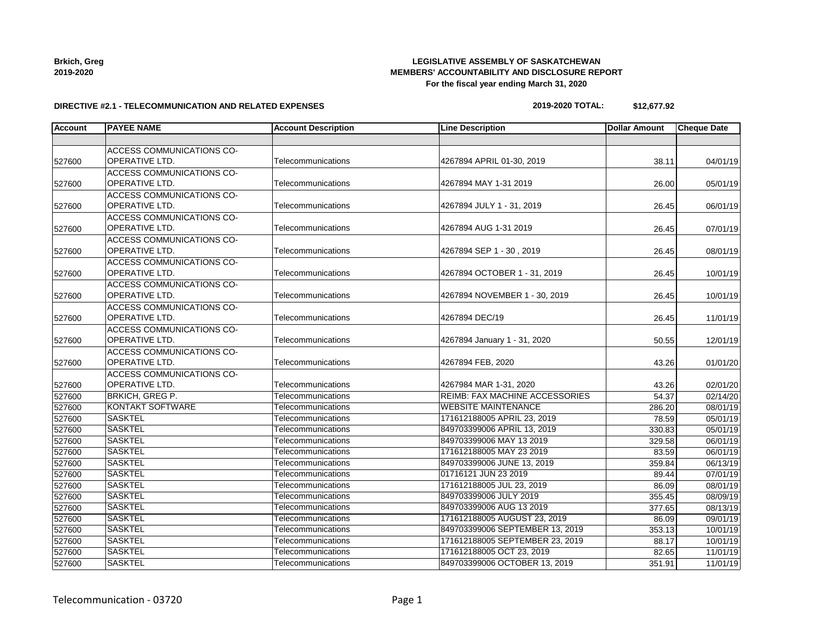| <b>Brkich, Greg</b> |
|---------------------|
| 2019-2020           |

527600

527600

527600

527600

527600

#### **LEGISLATIVE ASSEMBLY OF SASKATCHEWAN MEMBERS' ACCOUNTABILITY AND DISCLOSURE REPORT For the fiscal year ending March 31, 2020**

#### **DIRECTIVE #2.1 - TELECOMMUNICATION AND RELATED EXPENSES**

ACCESS COMMUNICATIONS CO-

| Account | <b>PAYEE NAME</b>         | <b>Account Description</b> | <b>Line Description</b>       | <b>IDollar Amount</b> | <b>Cheque Date</b> |
|---------|---------------------------|----------------------------|-------------------------------|-----------------------|--------------------|
|         |                           |                            |                               |                       |                    |
|         | ACCESS COMMUNICATIONS CO- |                            |                               |                       |                    |
| 527600  | OPERATIVE LTD.            | Telecommunications         | 4267894 APRIL 01-30, 2019     | 38.11                 | 04/01/19           |
|         | ACCESS COMMUNICATIONS CO- |                            |                               |                       |                    |
| 527600  | OPERATIVE LTD.            | Telecommunications         | 4267894 MAY 1-31 2019         | 26.00                 | 05/01/19           |
|         | ACCESS COMMUNICATIONS CO- |                            |                               |                       |                    |
| 527600  | OPERATIVE LTD.            | Telecommunications         | 4267894 JULY 1 - 31, 2019     | 26.45                 | 06/01/19           |
|         | ACCESS COMMUNICATIONS CO- |                            |                               |                       |                    |
| 527600  | OPERATIVE LTD.            | Telecommunications         | 4267894 AUG 1-31 2019         | 26.45                 | 07/01/19           |
|         | ACCESS COMMUNICATIONS CO- |                            |                               |                       |                    |
| 527600  | OPERATIVE LTD.            | Telecommunications         | 4267894 SEP 1 - 30, 2019      | 26.45                 | 08/01/19           |
|         | ACCESS COMMUNICATIONS CO- |                            |                               |                       |                    |
| 527600  | OPERATIVE LTD.            | Telecommunications         | 4267894 OCTOBER 1 - 31, 2019  | 26.45                 | 10/01/19           |
|         | ACCESS COMMUNICATIONS CO- |                            |                               |                       |                    |
| 527600  | OPERATIVE LTD.            | Telecommunications         | 4267894 NOVEMBER 1 - 30, 2019 | 26.45                 | 10/01/19           |
|         | ACCESS COMMUNICATIONS CO- |                            |                               |                       |                    |
| 527600  | OPERATIVE LTD.            | Telecommunications         | 4267894 DEC/19                | 26.45                 | 11/01/19           |
|         | ACCESS COMMUNICATIONS CO- |                            |                               |                       |                    |
| 527600  | IOPERATIVE LTD.           | Telecommunications         | 4267894 January 1 - 31, 2020  | 50.55                 | 12/01/19           |
|         | ACCESS COMMUNICATIONS CO- |                            |                               |                       |                    |

OPERATIVE LTD. Telecommunications 4267894 FEB, 2020 43.26 01/01/20

OPERATIVE LTD. CONTRIBUTE: THE COMMUNICATIONS AND THE CONTRIBUTE:  $\begin{bmatrix} 4267984 \text{ MAR } 1-31, 2020 \end{bmatrix}$  43.26 43.26 02/01/20

527600 BRKICH, GREG P. Telecommunications REIMB: FAX MACHINE ACCESSORIES 54.37 02/14/20 KONTAKT SOFTWARE Telecommunications WEBSITE MAINTENANCE 286.20 08/01/19 SASKTEL Telecommunications 171612188005 APRIL 23, 2019 78.59 05/01/19 SASKTEL Telecommunications 849703399006 APRIL 13, 2019 330.83 05/01/19 SASKTEL Telecommunications 849703399006 MAY 13 2019 329.58 06/01/19 SASKTEL Telecommunications 171612188005 MAY 23 2019 83.59 06/01/19 SASKTEL Telecommunications 849703399006 JUNE 13, 2019 359.84 06/13/19 527600 |SASKTEL |Telecommunications |01716121 JUN 23 2019 07/01/19 SASKTEL Telecommunications 171612188005 JUL 23, 2019 86.09 08/01/19 SASKTEL Telecommunications 849703399006 JULY 2019 355.45 08/09/19 SASKTEL Telecommunications 849703399006 AUG 13 2019 377.65 08/13/19 SASKTEL Telecommunications 171612188005 AUGUST 23, 2019 86.09 09/01/19 SASKTEL Telecommunications 849703399006 SEPTEMBER 13, 2019 353.13 10/01/19 SASKTEL Telecommunications 171612188005 SEPTEMBER 23, 2019 88.17 10/01/19 SASKTEL Telecommunications 171612188005 OCT 23, 2019 82.65 11/01/19 SASKTEL Telecommunications 849703399006 OCTOBER 13, 2019 351.91 11/01/19

**2019-2020 TOTAL: \$12,677.92**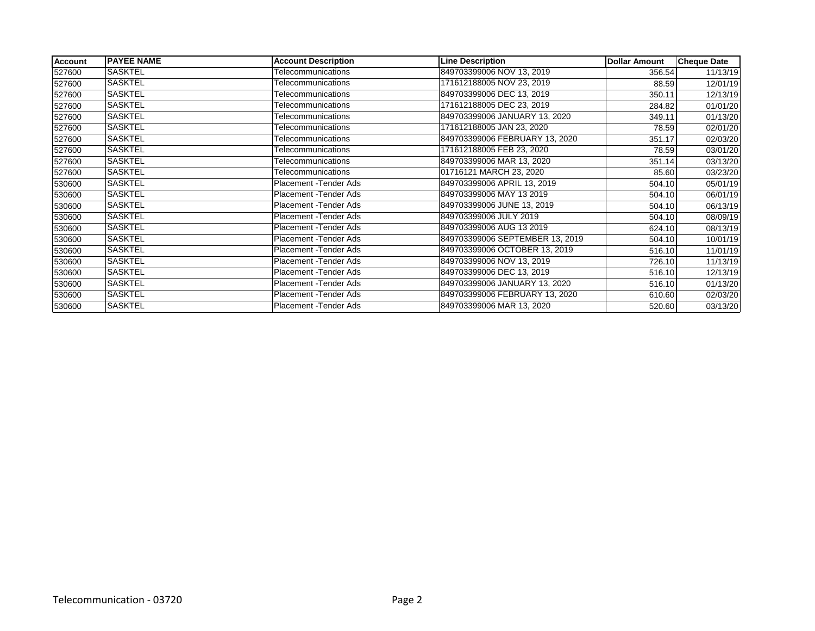| <b>Account</b> | <b>PAYEE NAME</b> | <b>Account Description</b> | <b>Line Description</b>         | <b>Dollar Amount</b> | <b>Cheque Date</b> |
|----------------|-------------------|----------------------------|---------------------------------|----------------------|--------------------|
| 527600         | SASKTEL           | Telecommunications         | 849703399006 NOV 13, 2019       | 356.54               | 11/13/19           |
| 527600         | SASKTEL           | Telecommunications         | 171612188005 NOV 23, 2019       | 88.59                | 12/01/19           |
| 527600         | SASKTEL           | Telecommunications         | 849703399006 DEC 13, 2019       | 350.11               | 12/13/19           |
| 527600         | SASKTEL           | Telecommunications         | 171612188005 DEC 23, 2019       | 284.82               | 01/01/20           |
| 527600         | SASKTEL           | Telecommunications         | 849703399006 JANUARY 13, 2020   | 349.11               | 01/13/20           |
| 527600         | SASKTEL           | Telecommunications         | 171612188005 JAN 23, 2020       | 78.59                | 02/01/20           |
| 527600         | SASKTEL           | Telecommunications         | 849703399006 FEBRUARY 13, 2020  | 351.17               | 02/03/20           |
| 527600         | <b>SASKTEL</b>    | Telecommunications         | 171612188005 FEB 23, 2020       | 78.59                | 03/01/20           |
| 527600         | <b>SASKTEL</b>    | Telecommunications         | 849703399006 MAR 13, 2020       | 351.14               | 03/13/20           |
| 527600         | SASKTEL           | Telecommunications         | 01716121 MARCH 23, 2020         | 85.60                | 03/23/20           |
| 530600         | <b>SASKTEL</b>    | Placement - Tender Ads     | 849703399006 APRIL 13, 2019     | 504.10               | 05/01/19           |
| 530600         | SASKTEL           | Placement - Tender Ads     | 849703399006 MAY 13 2019        | 504.10               | 06/01/19           |
| 530600         | <b>SASKTEL</b>    | Placement - Tender Ads     | 849703399006 JUNE 13, 2019      | 504.10               | 06/13/19           |
| 530600         | SASKTEL           | Placement - Tender Ads     | 849703399006 JULY 2019          | 504.10               | 08/09/19           |
| 530600         | <b>SASKTEL</b>    | Placement - Tender Ads     | 849703399006 AUG 13 2019        | 624.10               | 08/13/19           |
| 530600         | <b>SASKTEL</b>    | Placement - Tender Ads     | 849703399006 SEPTEMBER 13, 2019 | 504.10               | 10/01/19           |
| 530600         | <b>SASKTEL</b>    | Placement - Tender Ads     | 849703399006 OCTOBER 13, 2019   | 516.10               | 11/01/19           |
| 530600         | <b>SASKTEL</b>    | Placement - Tender Ads     | 849703399006 NOV 13, 2019       | 726.10               | 11/13/19           |
| 530600         | SASKTEL           | Placement - Tender Ads     | 849703399006 DEC 13, 2019       | 516.10               | 12/13/19           |
| 530600         | <b>SASKTEL</b>    | Placement - Tender Ads     | 849703399006 JANUARY 13, 2020   | 516.10               | 01/13/20           |
| 530600         | SASKTEL           | Placement - Tender Ads     | 849703399006 FEBRUARY 13, 2020  | 610.60               | 02/03/20           |
| 530600         | <b>SASKTEL</b>    | Placement - Tender Ads     | 849703399006 MAR 13, 2020       | 520.60               | 03/13/20           |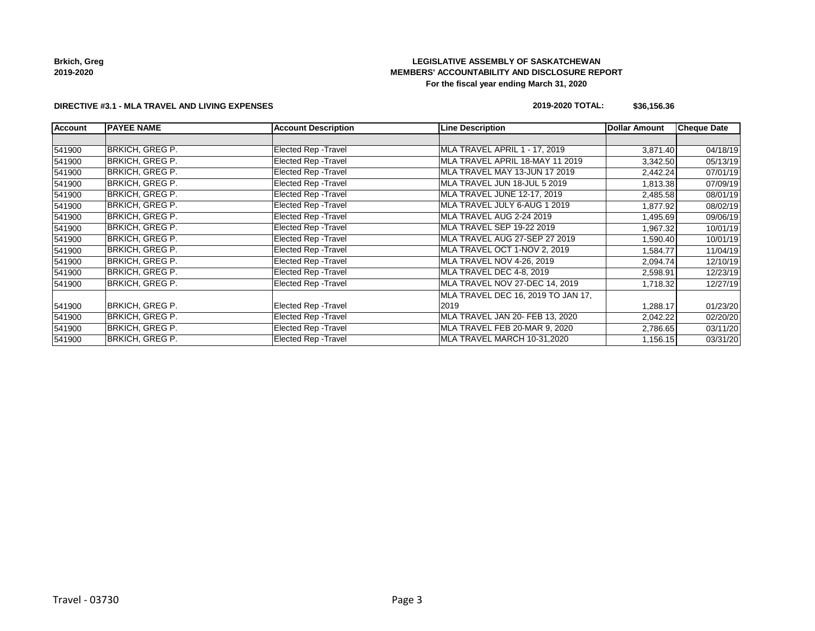## **LEGISLATIVE ASSEMBLY OF SASKATCHEWAN MEMBERS' ACCOUNTABILITY AND DISCLOSURE REPORT For the fiscal year ending March 31, 2020**

#### **DIRECTIVE #3.1 - MLA TRAVEL AND LIVING EXPENSES**

## **2019-2020 TOTAL: \$36,156.36**

| <b>Account</b> | <b>PAYEE NAME</b>      | <b>Account Description</b>  | <b>Line Description</b>            | <b>Dollar Amount</b> | <b>Cheque Date</b> |
|----------------|------------------------|-----------------------------|------------------------------------|----------------------|--------------------|
|                |                        |                             |                                    |                      |                    |
| 541900         | BRKICH, GREG P.        | Elected Rep - Travel        | MLA TRAVEL APRIL 1 - 17, 2019      | 3,871.40             | 04/18/19           |
| 541900         | BRKICH, GREG P.        | Elected Rep - Travel        | MLA TRAVEL APRIL 18-MAY 11 2019    | 3,342.50             | 05/13/19           |
| 541900         | BRKICH, GREG P.        | Elected Rep - Travel        | MLA TRAVEL MAY 13-JUN 17 2019      | 2,442.24             | 07/01/19           |
| 541900         | <b>BRKICH, GREG P.</b> | Elected Rep - Travel        | MLA TRAVEL JUN 18-JUL 5 2019       | 1,813.38             | 07/09/19           |
| 541900         | BRKICH, GREG P.        | Elected Rep - Travel        | MLA TRAVEL JUNE 12-17, 2019        | 2,485.58             | 08/01/19           |
| 541900         | BRKICH, GREG P.        | <b>Elected Rep - Travel</b> | MLA TRAVEL JULY 6-AUG 1 2019       | 1,877.92             | 08/02/19           |
| 541900         | BRKICH, GREG P.        | Elected Rep - Travel        | MLA TRAVEL AUG 2-24 2019           | 1,495.69             | 09/06/19           |
| 541900         | <b>BRKICH, GREG P.</b> | <b>Elected Rep - Travel</b> | MLA TRAVEL SEP 19-22 2019          | 1,967.32             | 10/01/19           |
| 541900         | <b>BRKICH, GREG P.</b> | <b>Elected Rep - Travel</b> | MLA TRAVEL AUG 27-SEP 27 2019      | 1,590.40             | 10/01/19           |
| 541900         | <b>BRKICH, GREG P.</b> | Elected Rep - Travel        | MLA TRAVEL OCT 1-NOV 2, 2019       | 1,584.77             | 11/04/19           |
| 541900         | BRKICH, GREG P.        | Elected Rep - Travel        | MLA TRAVEL NOV 4-26, 2019          | 2,094.74             | 12/10/19           |
| 541900         | BRKICH, GREG P.        | Elected Rep - Travel        | MLA TRAVEL DEC 4-8, 2019           | 2,598.91             | 12/23/19           |
| 541900         | <b>BRKICH, GREG P.</b> | <b>Elected Rep - Travel</b> | MLA TRAVEL NOV 27-DEC 14, 2019     | 1,718.32             | 12/27/19           |
|                |                        |                             | MLA TRAVEL DEC 16, 2019 TO JAN 17, |                      |                    |
| 541900         | BRKICH, GREG P.        | <b>Elected Rep - Travel</b> | 2019                               | 1,288.17             | 01/23/20           |
| 541900         | <b>BRKICH, GREG P.</b> | Elected Rep - Travel        | MLA TRAVEL JAN 20- FEB 13, 2020    | 2,042.22             | 02/20/20           |
| 541900         | BRKICH, GREG P.        | Elected Rep - Travel        | MLA TRAVEL FEB 20-MAR 9, 2020      | 2,786.65             | 03/11/20           |
| 541900         | <b>BRKICH, GREG P.</b> | <b>Elected Rep - Travel</b> | MLA TRAVEL MARCH 10-31,2020        | 1,156.15             | 03/31/20           |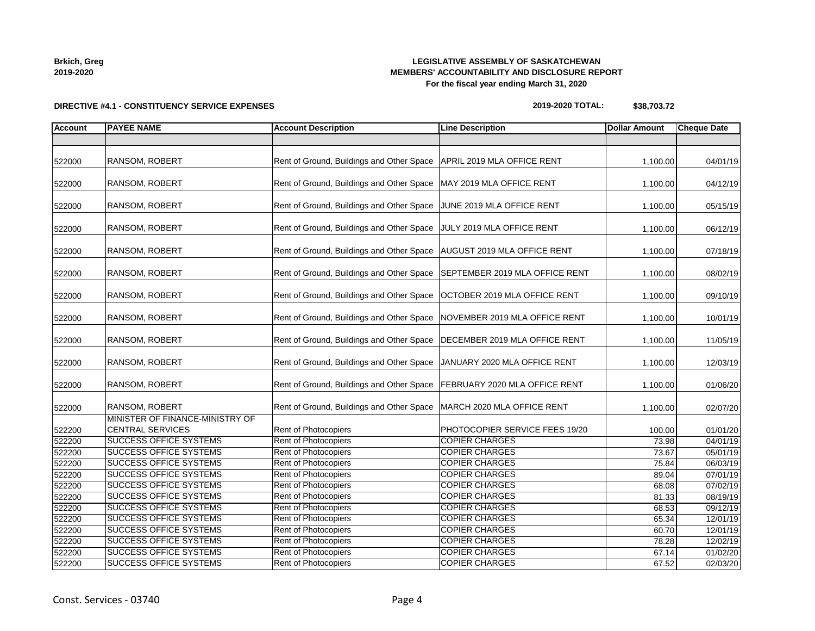| Brkich, Greg |  |
|--------------|--|
| 2019-2020    |  |

## **LEGISLATIVE ASSEMBLY OF SASKATCHEWAN MEMBERS' ACCOUNTABILITY AND DISCLOSURE REPORT For the fiscal year ending March 31, 2020**

# **DIRECTIVE #4.1 - CONSTITUENCY SERVICE EXPENSES**

## **2019-2020 TOTAL: \$38,703.72**

| <b>Account</b>   | <b>PAYEE NAME</b>                                              | <b>Account Description</b>                                             | <b>Line Description</b>                        | <b>Dollar Amount</b> | <b>Cheque Date</b>   |
|------------------|----------------------------------------------------------------|------------------------------------------------------------------------|------------------------------------------------|----------------------|----------------------|
|                  |                                                                |                                                                        |                                                |                      |                      |
| 522000           | RANSOM, ROBERT                                                 | Rent of Ground, Buildings and Other Space   APRIL 2019 MLA OFFICE RENT |                                                | 1,100.00             | 04/01/19             |
| 522000           | RANSOM, ROBERT                                                 | Rent of Ground, Buildings and Other Space                              | MAY 2019 MLA OFFICE RENT                       | 1,100.00             | 04/12/19             |
| 522000           | RANSOM, ROBERT                                                 | Rent of Ground, Buildings and Other Space                              | JUNE 2019 MLA OFFICE RENT                      | 1,100.00             | 05/15/19             |
| 522000           | RANSOM, ROBERT                                                 | Rent of Ground, Buildings and Other Space                              | JULY 2019 MLA OFFICE RENT                      | 1,100.00             | 06/12/19             |
| 522000           | RANSOM, ROBERT                                                 | Rent of Ground, Buildings and Other Space                              | <b>AUGUST 2019 MLA OFFICE RENT</b>             | 1,100.00             | 07/18/19             |
| 522000           | RANSOM, ROBERT                                                 | Rent of Ground, Buildings and Other Space                              | SEPTEMBER 2019 MLA OFFICE RENT                 | 1,100.00             | 08/02/19             |
| 522000           | RANSOM, ROBERT                                                 | Rent of Ground, Buildings and Other Space                              | OCTOBER 2019 MLA OFFICE RENT                   | 1,100.00             | 09/10/19             |
| 522000           | RANSOM, ROBERT                                                 | Rent of Ground, Buildings and Other Space                              | NOVEMBER 2019 MLA OFFICE RENT                  | 1,100.00             | 10/01/19             |
| 522000           | RANSOM, ROBERT                                                 | Rent of Ground, Buildings and Other Space                              | DECEMBER 2019 MLA OFFICE RENT                  | 1,100.00             | 11/05/19             |
| 522000           | RANSOM, ROBERT                                                 | Rent of Ground, Buildings and Other Space                              | JANUARY 2020 MLA OFFICE RENT                   | 1,100.00             | 12/03/19             |
| 522000           | RANSOM, ROBERT                                                 | Rent of Ground, Buildings and Other Space                              | FEBRUARY 2020 MLA OFFICE RENT                  | 1,100.00             | 01/06/20             |
| 522000           | RANSOM, ROBERT                                                 | Rent of Ground, Buildings and Other Space                              | MARCH 2020 MLA OFFICE RENT                     | 1,100.00             | 02/07/20             |
| 522200           | MINISTER OF FINANCE-MINISTRY OF<br><b>CENTRAL SERVICES</b>     | Rent of Photocopiers                                                   | PHOTOCOPIER SERVICE FEES 19/20                 | 100.00               | 01/01/20             |
| 522200           | <b>SUCCESS OFFICE SYSTEMS</b>                                  | <b>Rent of Photocopiers</b>                                            | <b>COPIER CHARGES</b>                          | 73.98                | 04/01/19             |
| 522200           | <b>SUCCESS OFFICE SYSTEMS</b>                                  | <b>Rent of Photocopiers</b>                                            | <b>COPIER CHARGES</b>                          | 73.67                | 05/01/19             |
| 522200           | <b>SUCCESS OFFICE SYSTEMS</b>                                  | Rent of Photocopiers                                                   | <b>COPIER CHARGES</b>                          | 75.84                | 06/03/19             |
| 522200           | <b>SUCCESS OFFICE SYSTEMS</b>                                  | <b>Rent of Photocopiers</b>                                            | <b>COPIER CHARGES</b>                          | 89.04                | 07/01/19             |
| 522200           | <b>SUCCESS OFFICE SYSTEMS</b>                                  | Rent of Photocopiers                                                   | <b>COPIER CHARGES</b>                          | 68.08                | 07/02/19             |
| 522200           | <b>SUCCESS OFFICE SYSTEMS</b>                                  | Rent of Photocopiers                                                   | <b>COPIER CHARGES</b>                          | 81.33                | 08/19/19             |
| 522200           | <b>SUCCESS OFFICE SYSTEMS</b>                                  | Rent of Photocopiers                                                   | <b>COPIER CHARGES</b>                          | 68.53                | 09/12/19             |
| 522200           | <b>SUCCESS OFFICE SYSTEMS</b>                                  | Rent of Photocopiers                                                   | <b>COPIER CHARGES</b>                          | 65.34                | 12/01/19             |
| 522200           | <b>SUCCESS OFFICE SYSTEMS</b><br><b>SUCCESS OFFICE SYSTEMS</b> | <b>Rent of Photocopiers</b><br>Rent of Photocopiers                    | <b>COPIER CHARGES</b><br><b>COPIER CHARGES</b> | 60.70                | 12/01/19             |
| 522200<br>522200 | <b>SUCCESS OFFICE SYSTEMS</b>                                  | <b>Rent of Photocopiers</b>                                            | <b>COPIER CHARGES</b>                          | 78.28<br>67.14       | 12/02/19<br>01/02/20 |
| 522200           | <b>SUCCESS OFFICE SYSTEMS</b>                                  | Rent of Photocopiers                                                   | <b>COPIER CHARGES</b>                          | 67.52                | 02/03/20             |
|                  |                                                                |                                                                        |                                                |                      |                      |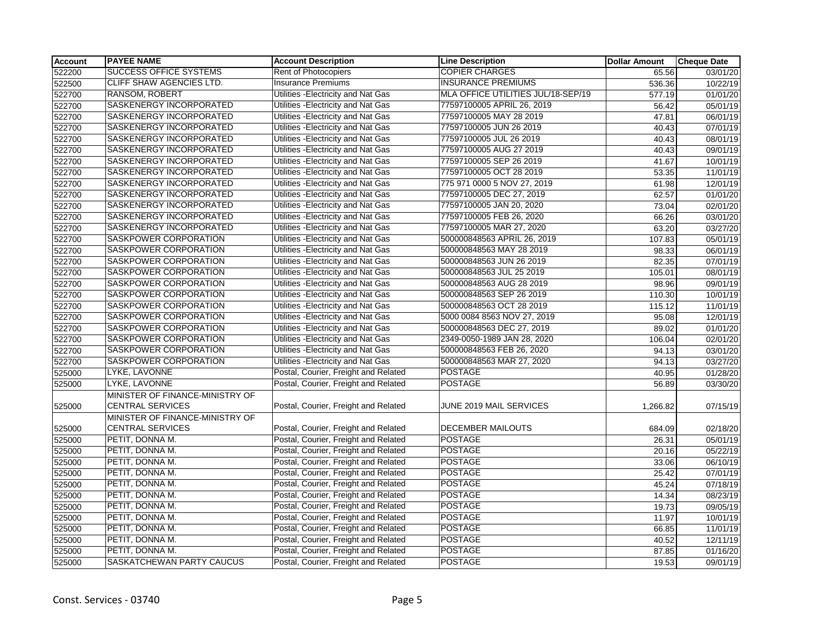| <b>Account</b> | <b>PAYEE NAME</b>               | <b>Account Description</b>           | <b>Line Description</b>            | <b>Dollar Amount</b> | <b>Cheque Date</b> |
|----------------|---------------------------------|--------------------------------------|------------------------------------|----------------------|--------------------|
| 522200         | <b>SUCCESS OFFICE SYSTEMS</b>   | Rent of Photocopiers                 | <b>COPIER CHARGES</b>              | 65.56                | 03/01/20           |
| 522500         | CLIFF SHAW AGENCIES LTD.        | <b>Insurance Premiums</b>            | <b>INSURANCE PREMIUMS</b>          | 536.36               | 10/22/19           |
| 522700         | RANSOM, ROBERT                  | Utilities - Electricity and Nat Gas  | MLA OFFICE UTILITIES JUL/18-SEP/19 | 577.19               | 01/01/20           |
| 522700         | SASKENERGY INCORPORATED         | Utilities - Electricity and Nat Gas  | 77597100005 APRIL 26, 2019         | 56.42                | 05/01/19           |
| 522700         | SASKENERGY INCORPORATED         | Utilities - Electricity and Nat Gas  | 77597100005 MAY 28 2019            | 47.81                | 06/01/19           |
| 522700         | SASKENERGY INCORPORATED         | Utilities - Electricity and Nat Gas  | 77597100005 JUN 26 2019            | 40.43                | 07/01/19           |
| 522700         | SASKENERGY INCORPORATED         | Utilities - Electricity and Nat Gas  | 77597100005 JUL 26 2019            | 40.43                | 08/01/19           |
| 522700         | SASKENERGY INCORPORATED         | Utilities -Electricity and Nat Gas   | 77597100005 AUG 27 2019            | 40.43                | 09/01/19           |
| 522700         | SASKENERGY INCORPORATED         | Utilities - Electricity and Nat Gas  | 77597100005 SEP 26 2019            | 41.67                | 10/01/19           |
| 522700         | SASKENERGY INCORPORATED         | Utilities - Electricity and Nat Gas  | 77597100005 OCT 28 2019            | 53.35                | 11/01/19           |
| 522700         | SASKENERGY INCORPORATED         | Utilities - Electricity and Nat Gas  | 775 971 0000 5 NOV 27, 2019        | 61.98                | 12/01/19           |
| 522700         | SASKENERGY INCORPORATED         | Utilities -Electricity and Nat Gas   | 77597100005 DEC 27, 2019           | 62.57                | 01/01/20           |
| 522700         | SASKENERGY INCORPORATED         | Utilities - Electricity and Nat Gas  | 77597100005 JAN 20, 2020           | 73.04                | 02/01/20           |
| 522700         | SASKENERGY INCORPORATED         | Utilities - Electricity and Nat Gas  | 77597100005 FEB 26, 2020           | 66.26                | 03/01/20           |
| 522700         | SASKENERGY INCORPORATED         | Utilities - Electricity and Nat Gas  | 77597100005 MAR 27, 2020           | 63.20                | 03/27/20           |
| 522700         | SASKPOWER CORPORATION           | Utilities - Electricity and Nat Gas  | 500000848563 APRIL 26, 2019        | 107.83               | 05/01/19           |
| 522700         | SASKPOWER CORPORATION           | Utilities - Electricity and Nat Gas  | 500000848563 MAY 28 2019           | 98.33                | 06/01/19           |
| 522700         | SASKPOWER CORPORATION           | Utilities - Electricity and Nat Gas  | 500000848563 JUN 26 2019           | 82.35                | 07/01/19           |
| 522700         | SASKPOWER CORPORATION           | Utilities - Electricity and Nat Gas  | 500000848563 JUL 25 2019           | 105.01               | 08/01/19           |
| 522700         | SASKPOWER CORPORATION           | Utilities -Electricity and Nat Gas   | 500000848563 AUG 28 2019           | 98.96                | 09/01/19           |
| 522700         | SASKPOWER CORPORATION           | Utilities - Electricity and Nat Gas  | 500000848563 SEP 26 2019           | 110.30               | 10/01/19           |
| 522700         | SASKPOWER CORPORATION           | Utilities - Electricity and Nat Gas  | 500000848563 OCT 28 2019           | 115.12               | 11/01/19           |
| 522700         | SASKPOWER CORPORATION           | Utilities - Electricity and Nat Gas  | 5000 0084 8563 NOV 27, 2019        | 95.08                | 12/01/19           |
| 522700         | SASKPOWER CORPORATION           | Utilities -Electricity and Nat Gas   | 500000848563 DEC 27, 2019          | 89.02                | 01/01/20           |
| 522700         | SASKPOWER CORPORATION           | Utilities - Electricity and Nat Gas  | 2349-0050-1989 JAN 28, 2020        | 106.04               | 02/01/20           |
| 522700         | <b>SASKPOWER CORPORATION</b>    | Utilities - Electricity and Nat Gas  | 500000848563 FEB 26, 2020          | 94.13                | 03/01/20           |
| 522700         | SASKPOWER CORPORATION           | Utilities - Electricity and Nat Gas  | 500000848563 MAR 27, 2020          | 94.13                | 03/27/20           |
| 525000         | LYKE, LAVONNE                   | Postal, Courier, Freight and Related | <b>POSTAGE</b>                     | 40.95                | 01/28/20           |
| 525000         | LYKE, LAVONNE                   | Postal, Courier, Freight and Related | <b>POSTAGE</b>                     | 56.89                | 03/30/20           |
|                | MINISTER OF FINANCE-MINISTRY OF |                                      |                                    |                      |                    |
| 525000         | <b>CENTRAL SERVICES</b>         | Postal, Courier, Freight and Related | JUNE 2019 MAIL SERVICES            | 1,266.82             | 07/15/19           |
|                | MINISTER OF FINANCE-MINISTRY OF |                                      |                                    |                      |                    |
| 525000         | CENTRAL SERVICES                | Postal, Courier, Freight and Related | <b>DECEMBER MAILOUTS</b>           | 684.09               | 02/18/20           |
| 525000         | PETIT, DONNA M.                 | Postal, Courier, Freight and Related | <b>POSTAGE</b>                     | 26.31                | 05/01/19           |
| 525000         | PETIT, DONNA M.                 | Postal, Courier, Freight and Related | <b>POSTAGE</b>                     | 20.16                | 05/22/19           |
| 525000         | PETIT, DONNA M.                 | Postal, Courier, Freight and Related | <b>POSTAGE</b>                     | 33.06                | 06/10/19           |
| 525000         | PETIT, DONNA M.                 | Postal, Courier, Freight and Related | <b>POSTAGE</b>                     | 25.42                | 07/01/19           |
| 525000         | PETIT, DONNA M.                 | Postal, Courier, Freight and Related | <b>POSTAGE</b>                     | 45.24                | 07/18/19           |
| 525000         | PETIT, DONNA M.                 | Postal, Courier, Freight and Related | <b>POSTAGE</b>                     | 14.34                | 08/23/19           |
| 525000         | PETIT, DONNA M.                 | Postal, Courier, Freight and Related | <b>POSTAGE</b>                     | 19.73                | 09/05/19           |
| 525000         | PETIT, DONNA M.                 | Postal, Courier, Freight and Related | <b>POSTAGE</b>                     | 11.97                | 10/01/19           |
| 525000         | PETIT, DONNA M.                 | Postal, Courier, Freight and Related | <b>POSTAGE</b>                     | 66.85                | 11/01/19           |
| 525000         | PETIT, DONNA M.                 | Postal, Courier, Freight and Related | <b>POSTAGE</b>                     | 40.52                | 12/11/19           |
| 525000         | PETIT, DONNA M.                 | Postal, Courier, Freight and Related | <b>POSTAGE</b>                     | 87.85                | 01/16/20           |
| 525000         | SASKATCHEWAN PARTY CAUCUS       | Postal, Courier, Freight and Related | <b>POSTAGE</b>                     | 19.53                | 09/01/19           |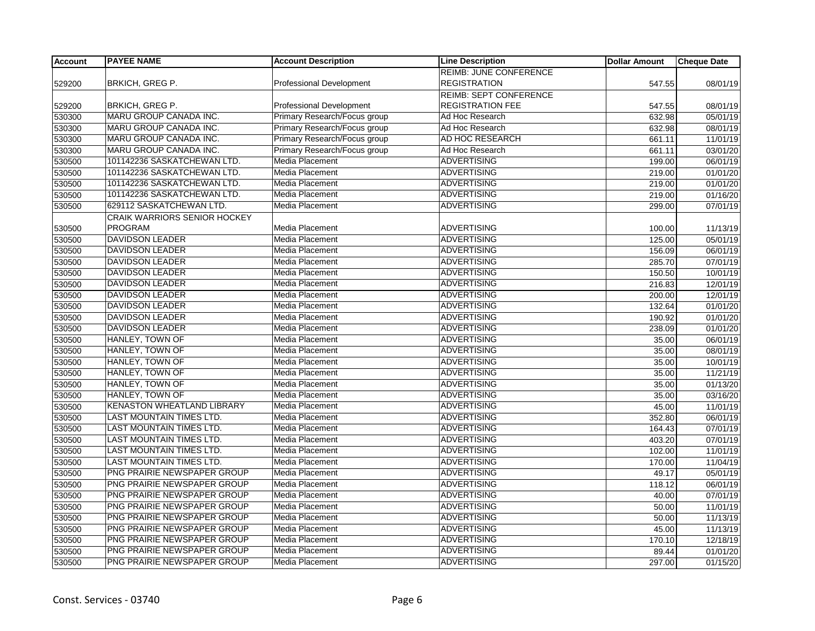| <b>Account</b> | <b>PAYEE NAME</b>               | <b>Account Description</b>      | <b>Line Description</b>       | <b>Dollar Amount</b> | <b>Cheque Date</b> |
|----------------|---------------------------------|---------------------------------|-------------------------------|----------------------|--------------------|
|                |                                 |                                 | <b>REIMB: JUNE CONFERENCE</b> |                      |                    |
| 529200         | BRKICH, GREG P.                 | Professional Development        | <b>REGISTRATION</b>           | 547.55               | 08/01/19           |
|                |                                 |                                 | <b>REIMB: SEPT CONFERENCE</b> |                      |                    |
| 529200         | <b>BRKICH, GREG P.</b>          | <b>Professional Development</b> | <b>REGISTRATION FEE</b>       | 547.55               | 08/01/19           |
| 530300         | <b>MARU GROUP CANADA INC.</b>   | Primary Research/Focus group    | Ad Hoc Research               | 632.98               | 05/01/19           |
| 530300         | MARU GROUP CANADA INC.          | Primary Research/Focus group    | Ad Hoc Research               | 632.98               | 08/01/19           |
| 530300         | MARU GROUP CANADA INC.          | Primary Research/Focus group    | AD HOC RESEARCH               | 661.11               | 11/01/19           |
| 530300         | MARU GROUP CANADA INC.          | Primary Research/Focus group    | Ad Hoc Research               | 661.11               | 03/01/20           |
| 530500         | 101142236 SASKATCHEWAN LTD.     | Media Placement                 | <b>ADVERTISING</b>            | 199.00               | 06/01/19           |
| 530500         | 101142236 SASKATCHEWAN LTD.     | <b>Media Placement</b>          | <b>ADVERTISING</b>            | 219.00               | 01/01/20           |
| 530500         | 101142236 SASKATCHEWAN LTD.     | Media Placement                 | <b>ADVERTISING</b>            | 219.00               | 01/01/20           |
| 530500         | 101142236 SASKATCHEWAN LTD.     | <b>Media Placement</b>          | <b>ADVERTISING</b>            | 219.00               | 01/16/20           |
| 530500         | 629112 SASKATCHEWAN LTD.        | Media Placement                 | <b>ADVERTISING</b>            | 299.00               | 07/01/19           |
|                | CRAIK WARRIORS SENIOR HOCKEY    |                                 |                               |                      |                    |
| 530500         | <b>PROGRAM</b>                  | Media Placement                 | <b>ADVERTISING</b>            | 100.00               | 11/13/19           |
| 530500         | <b>DAVIDSON LEADER</b>          | Media Placement                 | <b>ADVERTISING</b>            | 125.00               | 05/01/19           |
| 530500         | <b>DAVIDSON LEADER</b>          | Media Placement                 | <b>ADVERTISING</b>            | 156.09               | 06/01/19           |
| 530500         | <b>DAVIDSON LEADER</b>          | <b>Media Placement</b>          | <b>ADVERTISING</b>            | 285.70               | 07/01/19           |
| 530500         | <b>DAVIDSON LEADER</b>          | Media Placement                 | <b>ADVERTISING</b>            | 150.50               | 10/01/19           |
| 530500         | <b>DAVIDSON LEADER</b>          | <b>Media Placement</b>          | <b>ADVERTISING</b>            | 216.83               | 12/01/19           |
| 530500         | <b>DAVIDSON LEADER</b>          | Media Placement                 | <b>ADVERTISING</b>            | 200.00               | 12/01/19           |
| 530500         | <b>DAVIDSON LEADER</b>          | Media Placement                 | ADVERTISING                   | 132.64               | 01/01/20           |
| 530500         | <b>DAVIDSON LEADER</b>          | Media Placement                 | <b>ADVERTISING</b>            | 190.92               | 01/01/20           |
| 530500         | <b>DAVIDSON LEADER</b>          | Media Placement                 | <b>ADVERTISING</b>            | 238.09               | 01/01/20           |
| 530500         | HANLEY, TOWN OF                 | Media Placement                 | <b>ADVERTISING</b>            | 35.00                | 06/01/19           |
| 530500         | HANLEY, TOWN OF                 | Media Placement                 | <b>ADVERTISING</b>            | 35.00                | 08/01/19           |
| 530500         | HANLEY, TOWN OF                 | Media Placement                 | <b>ADVERTISING</b>            | 35.00                | 10/01/19           |
| 530500         | HANLEY, TOWN OF                 | <b>Media Placement</b>          | <b>ADVERTISING</b>            | 35.00                | 11/21/19           |
| 530500         | HANLEY, TOWN OF                 | Media Placement                 | <b>ADVERTISING</b>            | 35.00                | 01/13/20           |
| 530500         | HANLEY, TOWN OF                 | Media Placement                 | ADVERTISING                   | 35.00                | 03/16/20           |
| 530500         | KENASTON WHEATLAND LIBRARY      | Media Placement                 | <b>ADVERTISING</b>            | 45.00                | 11/01/19           |
| 530500         | <b>LAST MOUNTAIN TIMES LTD.</b> | Media Placement                 | <b>ADVERTISING</b>            | 352.80               | 06/01/19           |
| 530500         | LAST MOUNTAIN TIMES LTD.        | <b>Media Placement</b>          | <b>ADVERTISING</b>            | 164.43               | 07/01/19           |
| 530500         | LAST MOUNTAIN TIMES LTD.        | Media Placement                 | <b>ADVERTISING</b>            | 403.20               | 07/01/19           |
| 530500         | LAST MOUNTAIN TIMES LTD.        | Media Placement                 | ADVERTISING                   | 102.00               | 11/01/19           |
| 530500         | <b>LAST MOUNTAIN TIMES LTD.</b> | Media Placement                 | <b>ADVERTISING</b>            | 170.00               | 11/04/19           |
| 530500         | PNG PRAIRIE NEWSPAPER GROUP     | <b>Media Placement</b>          | <b>ADVERTISING</b>            | 49.17                | 05/01/19           |
| 530500         | PNG PRAIRIE NEWSPAPER GROUP     | Media Placement                 | ADVERTISING                   | 118.12               | 06/01/19           |
| 530500         | PNG PRAIRIE NEWSPAPER GROUP     | <b>Media Placement</b>          | <b>ADVERTISING</b>            | 40.00                | 07/01/19           |
| 530500         | PNG PRAIRIE NEWSPAPER GROUP     | Media Placement                 | <b>ADVERTISING</b>            | 50.00                | 11/01/19           |
| 530500         | PNG PRAIRIE NEWSPAPER GROUP     | <b>Media Placement</b>          | <b>ADVERTISING</b>            | 50.00                | 11/13/19           |
| 530500         | PNG PRAIRIE NEWSPAPER GROUP     | Media Placement                 | <b>ADVERTISING</b>            | 45.00                | 11/13/19           |
| 530500         | PNG PRAIRIE NEWSPAPER GROUP     | Media Placement                 | <b>ADVERTISING</b>            | 170.10               | 12/18/19           |
| 530500         | PNG PRAIRIE NEWSPAPER GROUP     | <b>Media Placement</b>          | <b>ADVERTISING</b>            | 89.44                | 01/01/20           |
| 530500         | PNG PRAIRIE NEWSPAPER GROUP     | <b>Media Placement</b>          | <b>ADVERTISING</b>            | 297.00               | 01/15/20           |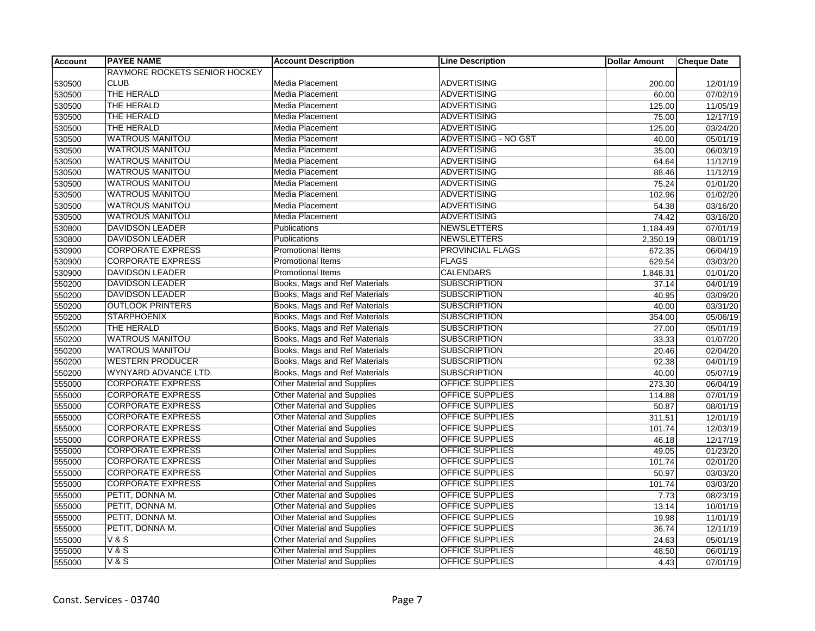| <b>Account</b> | <b>PAYEE NAME</b>             | <b>Account Description</b>         | <b>Line Description</b> | <b>Dollar Amount</b> | <b>Cheque Date</b> |
|----------------|-------------------------------|------------------------------------|-------------------------|----------------------|--------------------|
|                | RAYMORE ROCKETS SENIOR HOCKEY |                                    |                         |                      |                    |
| 530500         | <b>CLUB</b>                   | Media Placement                    | <b>ADVERTISING</b>      | 200.00               | 12/01/19           |
| 530500         | THE HERALD                    | <b>Media Placement</b>             | <b>ADVERTISING</b>      | 60.00                | 07/02/19           |
| 530500         | THE HERALD                    | <b>Media Placement</b>             | <b>ADVERTISING</b>      | 125.00               | 11/05/19           |
| 530500         | THE HERALD                    | Media Placement                    | <b>ADVERTISING</b>      | 75.00                | 12/17/19           |
| 530500         | THE HERALD                    | Media Placement                    | <b>ADVERTISING</b>      | 125.00               | 03/24/20           |
| 530500         | <b>WATROUS MANITOU</b>        | Media Placement                    | ADVERTISING - NO GST    | 40.00                | 05/01/19           |
| 530500         | <b>WATROUS MANITOU</b>        | Media Placement                    | <b>ADVERTISING</b>      | 35.00                | 06/03/19           |
| 530500         | <b>WATROUS MANITOU</b>        | <b>Media Placement</b>             | <b>ADVERTISING</b>      | 64.64                | 11/12/19           |
| 530500         | <b>WATROUS MANITOU</b>        | <b>Media Placement</b>             | <b>ADVERTISING</b>      | 88.46                | 11/12/19           |
| 530500         | <b>WATROUS MANITOU</b>        | Media Placement                    | <b>ADVERTISING</b>      | 75.24                | 01/01/20           |
| 530500         | <b>WATROUS MANITOU</b>        | Media Placement                    | <b>ADVERTISING</b>      | 102.96               | 01/02/20           |
| 530500         | <b>WATROUS MANITOU</b>        | <b>Media Placement</b>             | <b>ADVERTISING</b>      | 54.38                | 03/16/20           |
| 530500         | <b>WATROUS MANITOU</b>        | <b>Media Placement</b>             | <b>ADVERTISING</b>      | 74.42                | 03/16/20           |
| 530800         | <b>DAVIDSON LEADER</b>        | <b>Publications</b>                | <b>NEWSLETTERS</b>      | 1,184.49             | 07/01/19           |
| 530800         | <b>DAVIDSON LEADER</b>        | Publications                       | NEWSLETTERS             | 2,350.19             | 08/01/19           |
| 530900         | <b>CORPORATE EXPRESS</b>      | <b>Promotional Items</b>           | PROVINCIAL FLAGS        | 672.35               | 06/04/19           |
| 530900         | <b>CORPORATE EXPRESS</b>      | Promotional Items                  | <b>FLAGS</b>            | 629.54               | 03/03/20           |
| 530900         | <b>DAVIDSON LEADER</b>        | <b>Promotional Items</b>           | <b>CALENDARS</b>        | 1,848.31             | 01/01/20           |
| 550200         | <b>DAVIDSON LEADER</b>        | Books, Mags and Ref Materials      | <b>SUBSCRIPTION</b>     | 37.14                | 04/01/19           |
| 550200         | <b>DAVIDSON LEADER</b>        | Books, Mags and Ref Materials      | <b>SUBSCRIPTION</b>     | 40.95                | 03/09/20           |
| 550200         | <b>OUTLOOK PRINTERS</b>       | Books, Mags and Ref Materials      | <b>SUBSCRIPTION</b>     | 40.00                | 03/31/20           |
| 550200         | <b>STARPHOENIX</b>            | Books, Mags and Ref Materials      | <b>SUBSCRIPTION</b>     | 354.00               | 05/06/19           |
| 550200         | THE HERALD                    | Books, Mags and Ref Materials      | <b>SUBSCRIPTION</b>     | 27.00                | 05/01/19           |
| 550200         | <b>WATROUS MANITOU</b>        | Books, Mags and Ref Materials      | <b>SUBSCRIPTION</b>     | 33.33                | 01/07/20           |
| 550200         | <b>WATROUS MANITOU</b>        | Books, Mags and Ref Materials      | <b>SUBSCRIPTION</b>     | $\overline{20.46}$   | 02/04/20           |
| 550200         | <b>WESTERN PRODUCER</b>       | Books, Mags and Ref Materials      | <b>SUBSCRIPTION</b>     | 92.38                | 04/01/19           |
| 550200         | WYNYARD ADVANCE LTD.          | Books, Mags and Ref Materials      | <b>SUBSCRIPTION</b>     | 40.00                | 05/07/19           |
| 555000         | <b>CORPORATE EXPRESS</b>      | <b>Other Material and Supplies</b> | OFFICE SUPPLIES         | 273.30               | 06/04/19           |
| 555000         | <b>CORPORATE EXPRESS</b>      | Other Material and Supplies        | <b>OFFICE SUPPLIES</b>  | 114.88               | 07/01/19           |
| 555000         | <b>CORPORATE EXPRESS</b>      | Other Material and Supplies        | <b>OFFICE SUPPLIES</b>  | 50.87                | 08/01/19           |
| 555000         | <b>CORPORATE EXPRESS</b>      | Other Material and Supplies        | <b>OFFICE SUPPLIES</b>  | 311.51               | 12/01/19           |
| 555000         | <b>CORPORATE EXPRESS</b>      | <b>Other Material and Supplies</b> | OFFICE SUPPLIES         | 101.74               | 12/03/19           |
| 555000         | <b>CORPORATE EXPRESS</b>      | <b>Other Material and Supplies</b> | OFFICE SUPPLIES         | 46.18                | 12/17/19           |
| 555000         | <b>CORPORATE EXPRESS</b>      | Other Material and Supplies        | <b>OFFICE SUPPLIES</b>  | 49.05                | 01/23/20           |
| 555000         | <b>CORPORATE EXPRESS</b>      | <b>Other Material and Supplies</b> | <b>OFFICE SUPPLIES</b>  | 101.74               | 02/01/20           |
| 555000         | <b>CORPORATE EXPRESS</b>      | Other Material and Supplies        | <b>OFFICE SUPPLIES</b>  | 50.97                | 03/03/20           |
| 555000         | <b>CORPORATE EXPRESS</b>      | <b>Other Material and Supplies</b> | <b>OFFICE SUPPLIES</b>  | 101.74               | 03/03/20           |
| 555000         | PETIT, DONNA M.               | <b>Other Material and Supplies</b> | OFFICE SUPPLIES         | 7.73                 | 08/23/19           |
| 555000         | PETIT, DONNA M.               | <b>Other Material and Supplies</b> | <b>OFFICE SUPPLIES</b>  | 13.14                | 10/01/19           |
| 555000         | PETIT, DONNA M.               | Other Material and Supplies        | <b>OFFICE SUPPLIES</b>  | 19.98                | 11/01/19           |
| 555000         | PETIT, DONNA M.               | <b>Other Material and Supplies</b> | OFFICE SUPPLIES         | 36.74                | 12/11/19           |
| 555000         | <b>V&amp;S</b>                | <b>Other Material and Supplies</b> | OFFICE SUPPLIES         | 24.63                | 05/01/19           |
| 555000         | V & S                         | Other Material and Supplies        | OFFICE SUPPLIES         | 48.50                | 06/01/19           |
| 555000         | V&S                           | <b>Other Material and Supplies</b> | <b>OFFICE SUPPLIES</b>  | 4.43                 | 07/01/19           |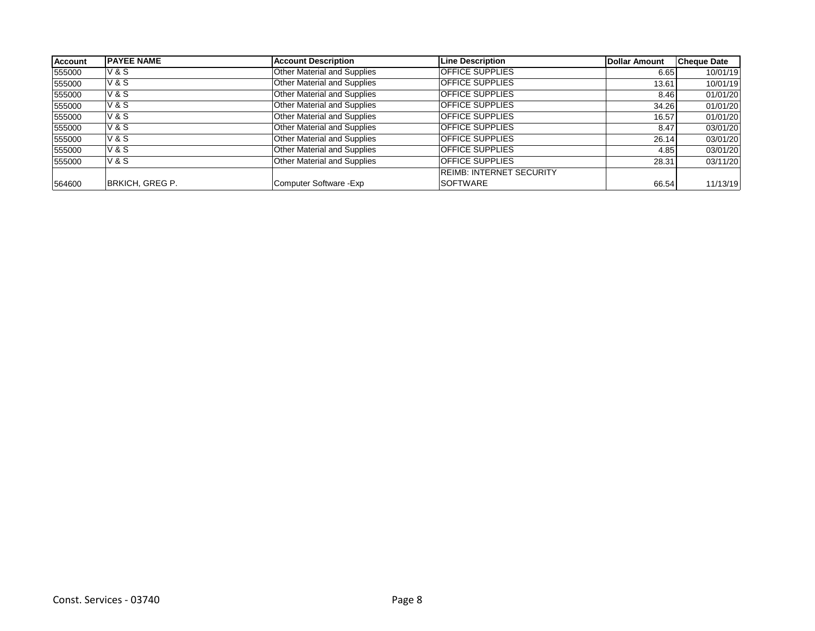| <b>Account</b> | <b>PAYEE NAME</b> | <b>Account Description</b>         | <b>Line Description</b>         | Dollar Amount | <b>Cheque Date</b> |
|----------------|-------------------|------------------------------------|---------------------------------|---------------|--------------------|
| 555000         | V & S             | Other Material and Supplies        | <b>OFFICE SUPPLIES</b>          | 6.65          | 10/01/19           |
| 555000         | <b>V&amp;S</b>    | Other Material and Supplies        | <b>OFFICE SUPPLIES</b>          | 13.61         | 10/01/19           |
| 555000         | <b>V&amp;S</b>    | Other Material and Supplies        | <b>OFFICE SUPPLIES</b>          | 8.46          | 01/01/20           |
| 555000         | <b>V&amp;S</b>    | Other Material and Supplies        | <b>OFFICE SUPPLIES</b>          | 34.26         | 01/01/20           |
| 555000         | <b>V&amp;S</b>    | Other Material and Supplies        | <b>OFFICE SUPPLIES</b>          | 16.57         | 01/01/20           |
| 555000         | <b>V&amp;S</b>    | Other Material and Supplies        | <b>OFFICE SUPPLIES</b>          | 8.47          | 03/01/20           |
| 555000         | <b>V&amp;S</b>    | Other Material and Supplies        | <b>OFFICE SUPPLIES</b>          | 26.14         | 03/01/20           |
| 555000         | <b>V&amp;S</b>    | <b>Other Material and Supplies</b> | <b>OFFICE SUPPLIES</b>          | 4.85          | 03/01/20           |
| 555000         | <b>V&amp;S</b>    | <b>Other Material and Supplies</b> | <b>OFFICE SUPPLIES</b>          | 28.31         | 03/11/20           |
|                |                   |                                    | <b>REIMB: INTERNET SECURITY</b> |               |                    |
| 564600         | BRKICH, GREG P.   | Computer Software - Exp            | <b>ISOFTWARE</b>                | 66.54         | 11/13/19           |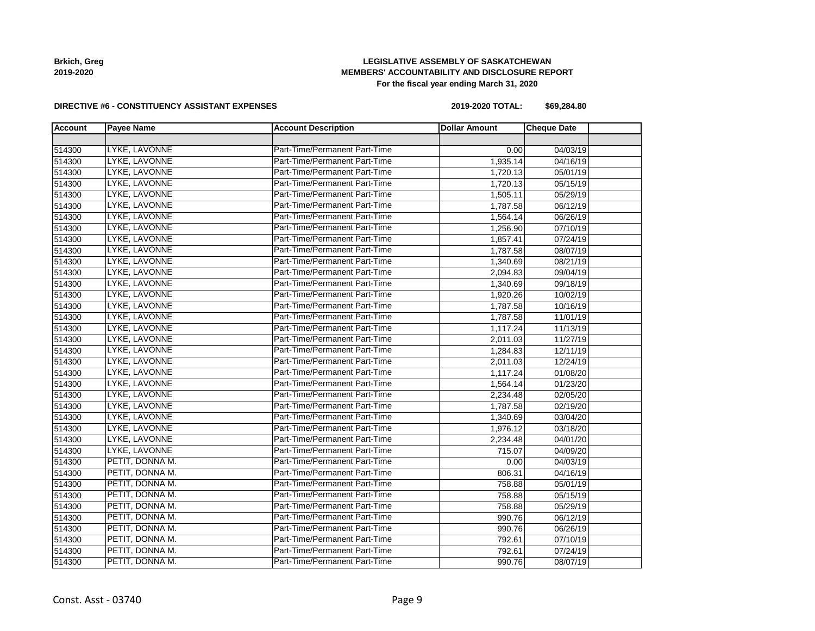## **LEGISLATIVE ASSEMBLY OF SASKATCHEWAN MEMBERS' ACCOUNTABILITY AND DISCLOSURE REPORT For the fiscal year ending March 31, 2020**

#### **DIRECTIVE #6 - CONSTITUENCY ASSISTANT EXPENSES**

**2019-2020 TOTAL: \$69,284.80**

| <b>Account</b> | <b>Payee Name</b> | <b>Account Description</b>    | <b>Dollar Amount</b> | <b>Cheque Date</b> |  |
|----------------|-------------------|-------------------------------|----------------------|--------------------|--|
|                |                   |                               |                      |                    |  |
| 514300         | LYKE, LAVONNE     | Part-Time/Permanent Part-Time | 0.00                 | 04/03/19           |  |
| 514300         | LYKE, LAVONNE     | Part-Time/Permanent Part-Time | 1,935.14             | 04/16/19           |  |
| 514300         | LYKE, LAVONNE     | Part-Time/Permanent Part-Time | 1,720.13             | 05/01/19           |  |
| 514300         | LYKE, LAVONNE     | Part-Time/Permanent Part-Time | 1,720.13             | 05/15/19           |  |
| 514300         | LYKE, LAVONNE     | Part-Time/Permanent Part-Time | 1,505.11             | 05/29/19           |  |
| 514300         | LYKE, LAVONNE     | Part-Time/Permanent Part-Time | 1,787.58             | 06/12/19           |  |
| 514300         | LYKE, LAVONNE     | Part-Time/Permanent Part-Time | 1,564.14             | 06/26/19           |  |
| 514300         | LYKE, LAVONNE     | Part-Time/Permanent Part-Time | 1,256.90             | 07/10/19           |  |
| 514300         | LYKE, LAVONNE     | Part-Time/Permanent Part-Time | 1,857.41             | 07/24/19           |  |
| 514300         | LYKE, LAVONNE     | Part-Time/Permanent Part-Time | 1,787.58             | 08/07/19           |  |
| 514300         | LYKE, LAVONNE     | Part-Time/Permanent Part-Time | 1,340.69             | 08/21/19           |  |
| 514300         | LYKE, LAVONNE     | Part-Time/Permanent Part-Time | 2,094.83             | 09/04/19           |  |
| 514300         | LYKE, LAVONNE     | Part-Time/Permanent Part-Time | 1,340.69             | 09/18/19           |  |
| 514300         | LYKE, LAVONNE     | Part-Time/Permanent Part-Time | 1,920.26             | 10/02/19           |  |
| 514300         | LYKE, LAVONNE     | Part-Time/Permanent Part-Time | 1,787.58             | 10/16/19           |  |
| 514300         | LYKE, LAVONNE     | Part-Time/Permanent Part-Time | 1,787.58             | 11/01/19           |  |
| 514300         | LYKE, LAVONNE     | Part-Time/Permanent Part-Time | 1,117.24             | 11/13/19           |  |
| 514300         | LYKE, LAVONNE     | Part-Time/Permanent Part-Time | 2,011.03             | 11/27/19           |  |
| 514300         | LYKE, LAVONNE     | Part-Time/Permanent Part-Time | 1,284.83             | 12/11/19           |  |
| 514300         | LYKE, LAVONNE     | Part-Time/Permanent Part-Time | 2,011.03             | 12/24/19           |  |
| 514300         | LYKE, LAVONNE     | Part-Time/Permanent Part-Time | 1,117.24             | 01/08/20           |  |
| 514300         | LYKE, LAVONNE     | Part-Time/Permanent Part-Time | 1,564.14             | 01/23/20           |  |
| 514300         | LYKE, LAVONNE     | Part-Time/Permanent Part-Time | 2,234.48             | 02/05/20           |  |
| 514300         | LYKE, LAVONNE     | Part-Time/Permanent Part-Time | 1,787.58             | 02/19/20           |  |
| 514300         | LYKE, LAVONNE     | Part-Time/Permanent Part-Time | 1,340.69             | 03/04/20           |  |
| 514300         | LYKE, LAVONNE     | Part-Time/Permanent Part-Time | 1,976.12             | 03/18/20           |  |
| 514300         | LYKE, LAVONNE     | Part-Time/Permanent Part-Time | 2,234.48             | 04/01/20           |  |
| 514300         | LYKE, LAVONNE     | Part-Time/Permanent Part-Time | 715.07               | 04/09/20           |  |
| 514300         | PETIT, DONNA M.   | Part-Time/Permanent Part-Time | 0.00                 | 04/03/19           |  |
| 514300         | PETIT, DONNA M.   | Part-Time/Permanent Part-Time | 806.31               | 04/16/19           |  |
| 514300         | PETIT, DONNA M.   | Part-Time/Permanent Part-Time | 758.88               | 05/01/19           |  |
| 514300         | PETIT, DONNA M.   | Part-Time/Permanent Part-Time | 758.88               | 05/15/19           |  |
| 514300         | PETIT, DONNA M.   | Part-Time/Permanent Part-Time | 758.88               | 05/29/19           |  |
| 514300         | PETIT, DONNA M.   | Part-Time/Permanent Part-Time | 990.76               | 06/12/19           |  |
| 514300         | PETIT, DONNA M.   | Part-Time/Permanent Part-Time | 990.76               | 06/26/19           |  |
| 514300         | PETIT, DONNA M.   | Part-Time/Permanent Part-Time | 792.61               | 07/10/19           |  |
| 514300         | PETIT, DONNA M.   | Part-Time/Permanent Part-Time | 792.61               | 07/24/19           |  |
| 514300         | PETIT, DONNA M.   | Part-Time/Permanent Part-Time | 990.76               | 08/07/19           |  |